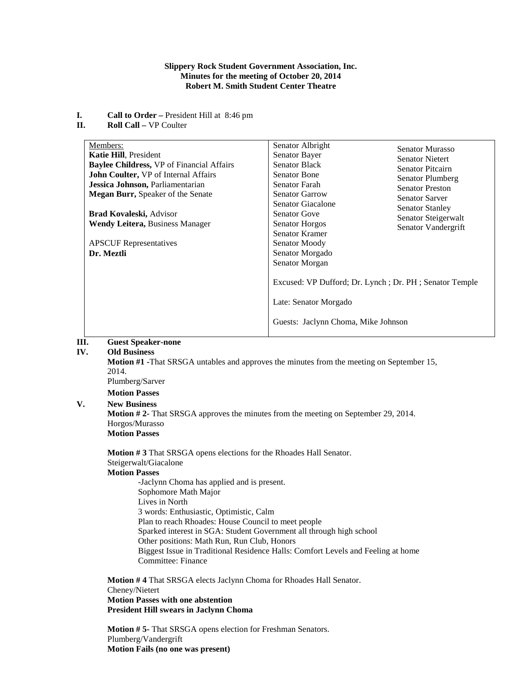### **Slippery Rock Student Government Association, Inc. Minutes for the meeting of October 20, 2014 Robert M. Smith Student Center Theatre**

- **I. Call to Order –** President Hill at 8:46 pm<br>**II. Roll Call –** VP Coulter
- **Roll Call –** VP Coulter

| Members:<br><b>Katie Hill, President</b><br><b>Baylee Childress, VP of Financial Affairs</b><br>John Coulter, VP of Internal Affairs<br>Jessica Johnson, Parliamentarian<br><b>Megan Burr, Speaker of the Senate</b><br><b>Brad Kovaleski, Advisor</b><br><b>Wendy Leitera, Business Manager</b> | Senator Albright<br><b>Senator Murasso</b><br>Senator Bayer<br><b>Senator Nietert</b><br><b>Senator Black</b><br><b>Senator Pitcairn</b><br><b>Senator Bone</b><br>Senator Plumberg<br>Senator Farah<br><b>Senator Preston</b><br>Senator Garrow<br><b>Senator Sarver</b><br>Senator Giacalone<br><b>Senator Stanley</b><br><b>Senator Gove</b><br>Senator Steigerwalt<br><b>Senator Horgos</b><br>Senator Vandergrift |
|--------------------------------------------------------------------------------------------------------------------------------------------------------------------------------------------------------------------------------------------------------------------------------------------------|------------------------------------------------------------------------------------------------------------------------------------------------------------------------------------------------------------------------------------------------------------------------------------------------------------------------------------------------------------------------------------------------------------------------|
| <b>APSCUF</b> Representatives<br>Dr. Meztli                                                                                                                                                                                                                                                      | Senator Kramer<br>Senator Moody<br>Senator Morgado<br>Senator Morgan<br>Excused: VP Dufford; Dr. Lynch; Dr. PH; Senator Temple<br>Late: Senator Morgado<br>Guests: Jaclynn Choma, Mike Johnson                                                                                                                                                                                                                         |

# **III. Guest Speaker-none**

## **IV. Old Business**

**Motion #1 -**That SRSGA untables and approves the minutes from the meeting on September 15, 2014. Plumberg/Sarver **Motion Passes V. New Business**

**Motion # 2-** That SRSGA approves the minutes from the meeting on September 29, 2014. Horgos/Murasso **Motion Passes**

**Motion # 3** That SRSGA opens elections for the Rhoades Hall Senator. Steigerwalt/Giacalone

### **Motion Passes**

-Jaclynn Choma has applied and is present. Sophomore Math Major Lives in North 3 words: Enthusiastic, Optimistic, Calm Plan to reach Rhoades: House Council to meet people Sparked interest in SGA: Student Government all through high school Other positions: Math Run, Run Club, Honors Biggest Issue in Traditional Residence Halls: Comfort Levels and Feeling at home Committee: Finance

**Motion # 4** That SRSGA elects Jaclynn Choma for Rhoades Hall Senator. Cheney/Nietert **Motion Passes with one abstention President Hill swears in Jaclynn Choma**

**Motion # 5-** That SRSGA opens election for Freshman Senators. Plumberg/Vandergrift **Motion Fails (no one was present)**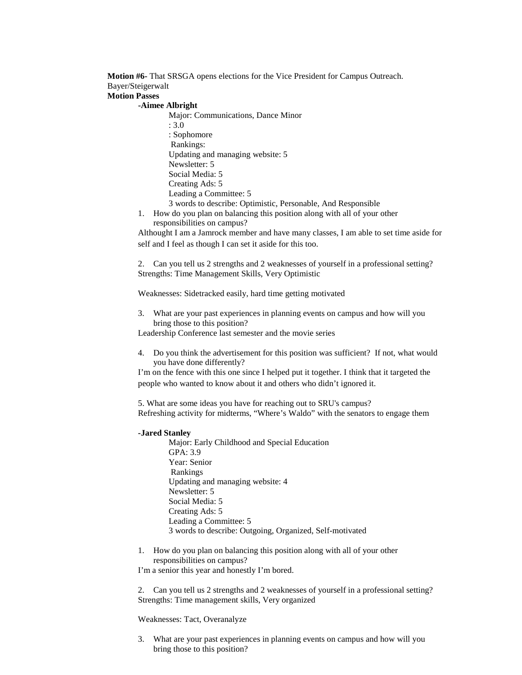**Motion #6-** That SRSGA opens elections for the Vice President for Campus Outreach. Bayer/Steigerwalt

# **Motion Passes**

### **-Aimee Albright**

Major: Communications, Dance Minor : 3.0 : Sophomore Rankings: Updating and managing website: 5 Newsletter: 5 Social Media: 5 Creating Ads: 5 Leading a Committee: 5 3 words to describe: Optimistic, Personable, And Responsible

1. How do you plan on balancing this position along with all of your other responsibilities on campus?

Althought I am a Jamrock member and have many classes, I am able to set time aside for self and I feel as though I can set it aside for this too.

2. Can you tell us 2 strengths and 2 weaknesses of yourself in a professional setting? Strengths: Time Management Skills, Very Optimistic

Weaknesses: Sidetracked easily, hard time getting motivated

3. What are your past experiences in planning events on campus and how will you bring those to this position?

Leadership Conference last semester and the movie series

4. Do you think the advertisement for this position was sufficient? If not, what would you have done differently?

I'm on the fence with this one since I helped put it together. I think that it targeted the people who wanted to know about it and others who didn't ignored it.

5. What are some ideas you have for reaching out to SRU's campus? Refreshing activity for midterms, "Where's Waldo" with the senators to engage them

#### **-Jared Stanley**

Major: Early Childhood and Special Education GPA: 3.9 Year: Senior Rankings Updating and managing website: 4 Newsletter: 5 Social Media: 5 Creating Ads: 5 Leading a Committee: 5 3 words to describe: Outgoing, Organized, Self-motivated

1. How do you plan on balancing this position along with all of your other responsibilities on campus? I'm a senior this year and honestly I'm bored.

2. Can you tell us 2 strengths and 2 weaknesses of yourself in a professional setting? Strengths: Time management skills, Very organized

Weaknesses: Tact, Overanalyze

3. What are your past experiences in planning events on campus and how will you bring those to this position?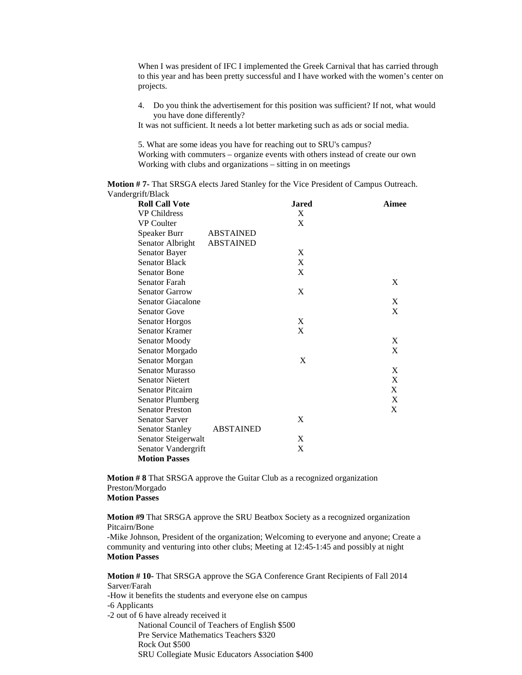When I was president of IFC I implemented the Greek Carnival that has carried through to this year and has been pretty successful and I have worked with the women's center on projects.

- 4. Do you think the advertisement for this position was sufficient? If not, what would you have done differently?
- It was not sufficient. It needs a lot better marketing such as ads or social media.

5. What are some ideas you have for reaching out to SRU's campus? Working with commuters – organize events with others instead of create our own Working with clubs and organizations – sitting in on meetings

**Motion # 7-** That SRSGA elects Jared Stanley for the Vice President of Campus Outreach. Vandergrift/Black

| <b>Jared</b> | Aimee                                                    |
|--------------|----------------------------------------------------------|
| X            |                                                          |
| X            |                                                          |
|              |                                                          |
|              |                                                          |
| X            |                                                          |
| X            |                                                          |
| X            |                                                          |
|              | X                                                        |
| X            |                                                          |
|              | X                                                        |
|              | X                                                        |
| X            |                                                          |
| X            |                                                          |
|              | X                                                        |
|              | X                                                        |
| X            |                                                          |
|              | X                                                        |
|              | X                                                        |
|              | X                                                        |
|              | X                                                        |
|              | X                                                        |
| X            |                                                          |
|              |                                                          |
| $\mathbf X$  |                                                          |
| X            |                                                          |
|              |                                                          |
|              | <b>ABSTAINED</b><br><b>ABSTAINED</b><br><b>ABSTAINED</b> |

**Motion # 8** That SRSGA approve the Guitar Club as a recognized organization Preston/Morgado **Motion Passes**

**Motion #9** That SRSGA approve the SRU Beatbox Society as a recognized organization Pitcairn/Bone

-Mike Johnson, President of the organization; Welcoming to everyone and anyone; Create a community and venturing into other clubs; Meeting at 12:45-1:45 and possibly at night **Motion Passes**

**Motion # 10-** That SRSGA approve the SGA Conference Grant Recipients of Fall 2014 Sarver/Farah

-How it benefits the students and everyone else on campus

-6 Applicants

-2 out of 6 have already received it

National Council of Teachers of English \$500 Pre Service Mathematics Teachers \$320 Rock Out \$500 SRU Collegiate Music Educators Association \$400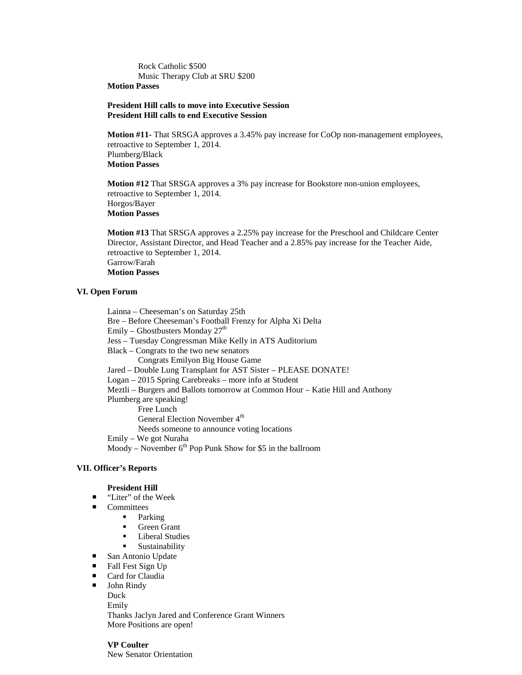Rock Catholic \$500 Music Therapy Club at SRU \$200

# **Motion Passes**

#### **President Hill calls to move into Executive Session President Hill calls to end Executive Session**

**Motion #11-** That SRSGA approves a 3.45% pay increase for CoOp non-management employees, retroactive to September 1, 2014. Plumberg/Black **Motion Passes**

**Motion #12** That SRSGA approves a 3% pay increase for Bookstore non-union employees, retroactive to September 1, 2014. Horgos/Bayer **Motion Passes**

**Motion #13** That SRSGA approves a 2.25% pay increase for the Preschool and Childcare Center Director, Assistant Director, and Head Teacher and a 2.85% pay increase for the Teacher Aide, retroactive to September 1, 2014. Garrow/Farah **Motion Passes**

### **VI. Open Forum**

Lainna – Cheeseman's on Saturday 25th Bre – Before Cheeseman's Football Frenzy for Alpha Xi Delta Emily – Ghostbusters Monday  $27<sup>th</sup>$ Jess – Tuesday Congressman Mike Kelly in ATS Auditorium Black – Congrats to the two new senators Congrats Emilyon Big House Game Jared – Double Lung Transplant for AST Sister – PLEASE DONATE! Logan – 2015 Spring Carebreaks – more info at Student Meztli – Burgers and Ballots tomorrow at Common Hour – Katie Hill and Anthony Plumberg are speaking! Free Lunch General Election November 4<sup>th</sup> Needs someone to announce voting locations Emily – We got Nuraha Moody – November  $6<sup>th</sup>$  Pop Punk Show for \$5 in the ballroom

## **VII. Officer's Reports**

#### **President Hill**

- "Liter" of the Week
- Committees
	- Parking
		- Green Grant
		- $\blacksquare$  Liberal Studies
		- Sustainability
- San Antonio Update
- $\blacksquare$  Fall Fest Sign Up
- Card for Claudia
- **John Rindy** 
	- Duck
	- Emily

Thanks Jaclyn Jared and Conference Grant Winners More Positions are open!

**VP Coulter** New Senator Orientation